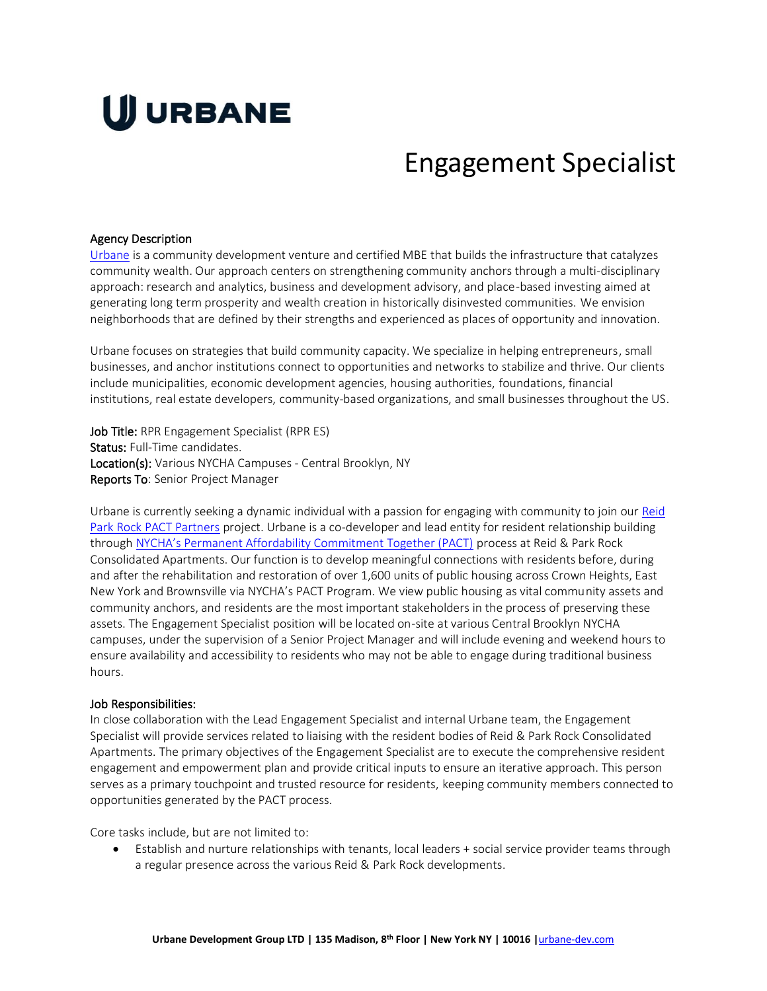# U URBANE

# Engagement Specialist

#### Agency Description

[Urbane](http://thisisurbane.com/) is a community development venture and certified MBE that builds the infrastructure that catalyzes community wealth. Our approach centers on strengthening community anchors through a multi-disciplinary approach: research and analytics, business and development advisory, and place-based investing aimed at generating long term prosperity and wealth creation in historically disinvested communities. We envision neighborhoods that are defined by their strengths and experienced as places of opportunity and innovation.

Urbane focuses on strategies that build community capacity. We specialize in helping entrepreneurs, small businesses, and anchor institutions connect to opportunities and networks to stabilize and thrive. Our clients include municipalities, economic development agencies, housing authorities, foundations, financial institutions, real estate developers, community-based organizations, and small businesses throughout the US.

Job Title: RPR Engagement Specialist (RPR ES) Status: Full-Time candidates. Location(s): Various NYCHA Campuses - Central Brooklyn, NY Reports To: Senior Project Manager

Urbane is currently seeking a dynamic individual with a passion for engaging with community to join our [Reid](https://www.reidparkrock.com/)  [Park Rock PACT Partners](https://www.reidparkrock.com/) project. Urbane is a co-developer and lead entity for resident relationship building through [NYCHA's Permanent Affordability Commitment Together \(PACT\)](https://www1.nyc.gov/site/nycha/about/pact.page) process at Reid & Park Rock Consolidated Apartments. Our function is to develop meaningful connections with residents before, during and after the rehabilitation and restoration of over 1,600 units of public housing across Crown Heights, East New York and Brownsville via NYCHA's PACT Program. We view public housing as vital community assets and community anchors, and residents are the most important stakeholders in the process of preserving these assets. The Engagement Specialist position will be located on-site at various Central Brooklyn NYCHA campuses, under the supervision of a Senior Project Manager and will include evening and weekend hours to ensure availability and accessibility to residents who may not be able to engage during traditional business hours.

#### Job Responsibilities:

In close collaboration with the Lead Engagement Specialist and internal Urbane team, the Engagement Specialist will provide services related to liaising with the resident bodies of Reid & Park Rock Consolidated Apartments. The primary objectives of the Engagement Specialist are to execute the comprehensive resident engagement and empowerment plan and provide critical inputs to ensure an iterative approach. This person serves as a primary touchpoint and trusted resource for residents, keeping community members connected to opportunities generated by the PACT process.

Core tasks include, but are not limited to:

• Establish and nurture relationships with tenants, local leaders + social service provider teams through a regular presence across the various Reid & Park Rock developments.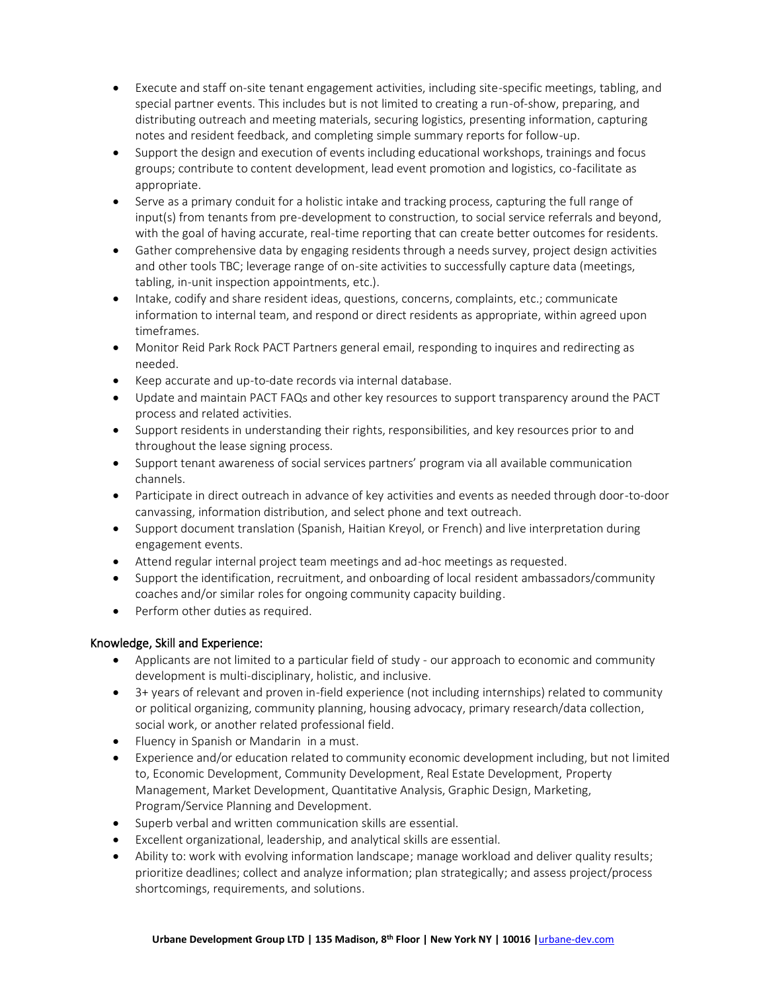- Execute and staff on-site tenant engagement activities, including site-specific meetings, tabling, and special partner events. This includes but is not limited to creating a run-of-show, preparing, and distributing outreach and meeting materials, securing logistics, presenting information, capturing notes and resident feedback, and completing simple summary reports for follow-up.
- Support the design and execution of events including educational workshops, trainings and focus groups; contribute to content development, lead event promotion and logistics, co-facilitate as appropriate.
- Serve as a primary conduit for a holistic intake and tracking process, capturing the full range of input(s) from tenants from pre-development to construction, to social service referrals and beyond, with the goal of having accurate, real-time reporting that can create better outcomes for residents.
- Gather comprehensive data by engaging residents through a needs survey, project design activities and other tools TBC; leverage range of on-site activities to successfully capture data (meetings, tabling, in-unit inspection appointments, etc.).
- Intake, codify and share resident ideas, questions, concerns, complaints, etc.; communicate information to internal team, and respond or direct residents as appropriate, within agreed upon timeframes.
- Monitor Reid Park Rock PACT Partners general email, responding to inquires and redirecting as needed.
- Keep accurate and up-to-date records via internal database.
- Update and maintain PACT FAQs and other key resources to support transparency around the PACT process and related activities.
- Support residents in understanding their rights, responsibilities, and key resources prior to and throughout the lease signing process.
- Support tenant awareness of social services partners' program via all available communication channels.
- Participate in direct outreach in advance of key activities and events as needed through door-to-door canvassing, information distribution, and select phone and text outreach.
- Support document translation (Spanish, Haitian Kreyol, or French) and live interpretation during engagement events.
- Attend regular internal project team meetings and ad-hoc meetings as requested.
- Support the identification, recruitment, and onboarding of local resident ambassadors/community coaches and/or similar roles for ongoing community capacity building.
- Perform other duties as required.

# Knowledge, Skill and Experience:

- Applicants are not limited to a particular field of study our approach to economic and community development is multi-disciplinary, holistic, and inclusive.
- 3+ years of relevant and proven in-field experience (not including internships) related to community or political organizing, community planning, housing advocacy, primary research/data collection, social work, or another related professional field.
- Fluency in Spanish or Mandarin in a must.
- Experience and/or education related to community economic development including, but not limited to, Economic Development, Community Development, Real Estate Development, Property Management, Market Development, Quantitative Analysis, Graphic Design, Marketing, Program/Service Planning and Development.
- Superb verbal and written communication skills are essential.
- Excellent organizational, leadership, and analytical skills are essential.
- Ability to: work with evolving information landscape; manage workload and deliver quality results; prioritize deadlines; collect and analyze information; plan strategically; and assess project/process shortcomings, requirements, and solutions.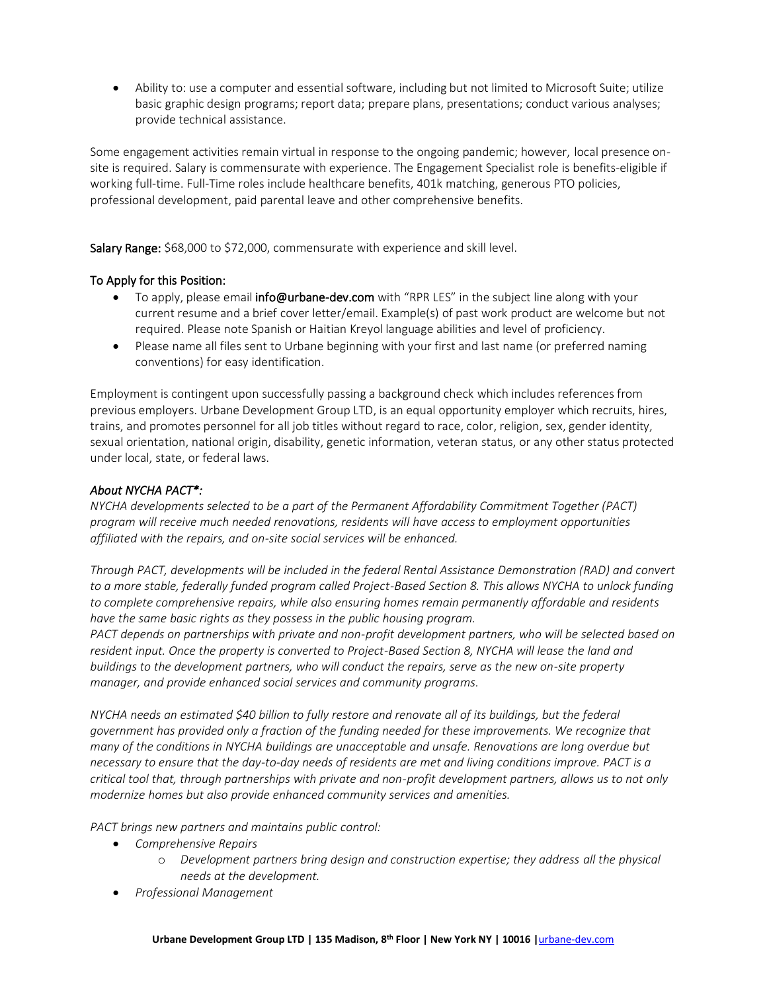• Ability to: use a computer and essential software, including but not limited to Microsoft Suite; utilize basic graphic design programs; report data; prepare plans, presentations; conduct various analyses; provide technical assistance.

Some engagement activities remain virtual in response to the ongoing pandemic; however, local presence onsite is required. Salary is commensurate with experience. The Engagement Specialist role is benefits-eligible if working full-time. Full-Time roles include healthcare benefits, 401k matching, generous PTO policies, professional development, paid parental leave and other comprehensive benefits.

Salary Range: \$68,000 to \$72,000, commensurate with experience and skill level.

# To Apply for this Position:

- To apply, please email **info@urbane-dev.com** with "RPR LES" in the subject line along with your current resume and a brief cover letter/email. Example(s) of past work product are welcome but not required. Please note Spanish or Haitian Kreyol language abilities and level of proficiency.
- Please name all files sent to Urbane beginning with your first and last name (or preferred naming conventions) for easy identification.

Employment is contingent upon successfully passing a background check which includes references from previous employers. Urbane Development Group LTD, is an equal opportunity employer which recruits, hires, trains, and promotes personnel for all job titles without regard to race, color, religion, sex, gender identity, sexual orientation, national origin, disability, genetic information, veteran status, or any other status protected under local, state, or federal laws.

# *About NYCHA PACT\*:*

*NYCHA developments selected to be a part of the Permanent Affordability Commitment Together (PACT) program will receive much needed renovations, residents will have access to employment opportunities affiliated with the repairs, and on-site social services will be enhanced.*

*Through PACT, developments will be included in the federal Rental Assistance Demonstration (RAD) and convert to a more stable, federally funded program called Project-Based Section 8. This allows NYCHA to unlock funding to complete comprehensive repairs, while also ensuring homes remain permanently affordable and residents have the same basic rights as they possess in the public housing program.*

*PACT depends on partnerships with private and non-profit development partners, who will be selected based on*  resident input. Once the property is converted to Project-Based Section 8, NYCHA will lease the land and *buildings to the development partners, who will conduct the repairs, serve as the new on-site property manager, and provide enhanced social services and community programs.*

*NYCHA needs an estimated \$40 billion to fully restore and renovate all of its buildings, but the federal government has provided only a fraction of the funding needed for these improvements. We recognize that many of the conditions in NYCHA buildings are unacceptable and unsafe. Renovations are long overdue but necessary to ensure that the day-to-day needs of residents are met and living conditions improve. PACT is a critical tool that, through partnerships with private and non-profit development partners, allows us to not only modernize homes but also provide enhanced community services and amenities.*

*PACT brings new partners and maintains public control:*

- *Comprehensive Repairs*
	- o *Development partners bring design and construction expertise; they address all the physical needs at the development.*
- *Professional Management*